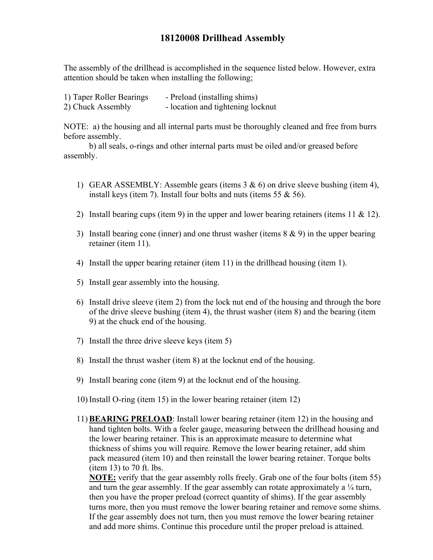## **18120008 Drillhead Assembly**

The assembly of the drillhead is accomplished in the sequence listed below. However, extra attention should be taken when installing the following;

| 1) Taper Roller Bearings | - Preload (installing shims)      |
|--------------------------|-----------------------------------|
| 2) Chuck Assembly        | - location and tightening locknut |

NOTE: a) the housing and all internal parts must be thoroughly cleaned and free from burrs before assembly.

b) all seals, o-rings and other internal parts must be oiled and/or greased before assembly.

- 1) GEAR ASSEMBLY: Assemble gears (items  $3 \& 6$ ) on drive sleeve bushing (item 4), install keys (item 7). Install four bolts and nuts (items 55 & 56).
- 2) Install bearing cups (item 9) in the upper and lower bearing retainers (items 11 & 12).
- 3) Install bearing cone (inner) and one thrust washer (items 8 & 9) in the upper bearing retainer (item 11).
- 4) Install the upper bearing retainer (item 11) in the drillhead housing (item 1).
- 5) Install gear assembly into the housing.
- 6) Install drive sleeve (item 2) from the lock nut end of the housing and through the bore of the drive sleeve bushing (item 4), the thrust washer (item 8) and the bearing (item 9) at the chuck end of the housing.
- 7) Install the three drive sleeve keys (item 5)
- 8) Install the thrust washer (item 8) at the locknut end of the housing.
- 9) Install bearing cone (item 9) at the locknut end of the housing.
- 10) Install O-ring (item 15) in the lower bearing retainer (item 12)
- 11) **BEARING PRELOAD**: Install lower bearing retainer (item 12) in the housing and hand tighten bolts. With a feeler gauge, measuring between the drillhead housing and the lower bearing retainer. This is an approximate measure to determine what thickness of shims you will require. Remove the lower bearing retainer, add shim pack measured (item 10) and then reinstall the lower bearing retainer. Torque bolts (item 13) to 70 ft. lbs.

**NOTE:** verify that the gear assembly rolls freely. Grab one of the four bolts (item 55) and turn the gear assembly. If the gear assembly can rotate approximately a  $\frac{1}{4}$  turn, then you have the proper preload (correct quantity of shims). If the gear assembly turns more, then you must remove the lower bearing retainer and remove some shims. If the gear assembly does not turn, then you must remove the lower bearing retainer and add more shims. Continue this procedure until the proper preload is attained.